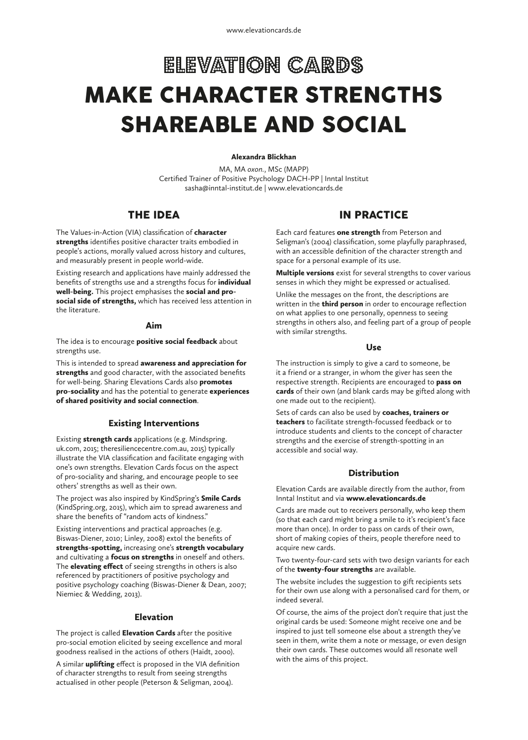# ELEVATION CARDS MAKE CHARACTER STRENGTHS SHAREABLE AND SOCIAL

# Alexandra Blickhan

MA, MA *oxon.*, MSc (MAPP) Certified Trainer of Positive Psychology DACH-PP | Inntal Institut sasha@inntal-institut.de | www.elevationcards.de

# THE IDEA

The Values-in-Action (VIA) classification of character strengths identifies positive character traits embodied in people's actions, morally valued across history and cultures, and measurably present in people world-wide.

Existing research and applications have mainly addressed the benefits of strengths use and a strengths focus for individual well-being. This project emphasises the social and prosocial side of strengths, which has received less attention in the literature.

## Aim

The idea is to encourage **positive social feedback** about strengths use.

This is intended to spread awareness and appreciation for strengths and good character, with the associated benefits for well-being. Sharing Elevations Cards also **promotes** pro-sociality and has the potential to generate experiences of shared positivity and social connection.

## Existing Interventions

Existing strength cards applications (e.g. Mindspring. uk.com, 2015; theresiliencecentre.com.au, 2015) typically illustrate the VIA classification and facilitate engaging with one's own strengths. Elevation Cards focus on the aspect of pro-sociality and sharing, and encourage people to see others' strengths as well as their own.

The project was also inspired by KindSpring's Smile Cards (KindSpring.org, 2015), which aim to spread awareness and share the benefits of "random acts of kindness."

Existing interventions and practical approaches (e.g. Biswas-Diener, 2010; Linley, 2008) extol the benefits of strengths-spotting, increasing one's strength vocabulary and cultivating a focus on strengths in oneself and others. The **elevating effect** of seeing strengths in others is also referenced by practitioners of positive psychology and positive psychology coaching (Biswas-Diener & Dean, 2007; Niemiec & Wedding, 2013).

# Elevation

The project is called Elevation Cards after the positive pro-social emotion elicited by seeing excellence and moral goodness realised in the actions of others (Haidt, 2000).

A similar **uplifting** effect is proposed in the VIA definition of character strengths to result from seeing strengths actualised in other people (Peterson & Seligman, 2004).

# IN PRACTICE

Each card features one strength from Peterson and Seligman's (2004) classification, some playfully paraphrased, with an accessible definition of the character strength and space for a personal example of its use.

**Multiple versions** exist for several strengths to cover various senses in which they might be expressed or actualised.

Unlike the messages on the front, the descriptions are written in the **third person** in order to encourage reflection on what applies to one personally, openness to seeing strengths in others also, and feeling part of a group of people with similar strengths.

### Use

The instruction is simply to give a card to someone, be it a friend or a stranger, in whom the giver has seen the respective strength. Recipients are encouraged to pass on cards of their own (and blank cards may be gifted along with one made out to the recipient).

Sets of cards can also be used by coaches, trainers or teachers to facilitate strength-focussed feedback or to introduce students and clients to the concept of character strengths and the exercise of strength-spotting in an accessible and social way.

# **Distribution**

Elevation Cards are available directly from the author, from Inntal Institut and via www.elevationcards.de

Cards are made out to receivers personally, who keep them (so that each card might bring a smile to it's recipient's face more than once). In order to pass on cards of their own, short of making copies of theirs, people therefore need to acquire new cards.

Two twenty-four-card sets with two design variants for each of the twenty-four strengths are available.

The website includes the suggestion to gift recipients sets for their own use along with a personalised card for them, or indeed several.

Of course, the aims of the project don't require that just the original cards be used: Someone might receive one and be inspired to just tell someone else about a strength they've seen in them, write them a note or message, or even design their own cards. These outcomes would all resonate well with the aims of this project.